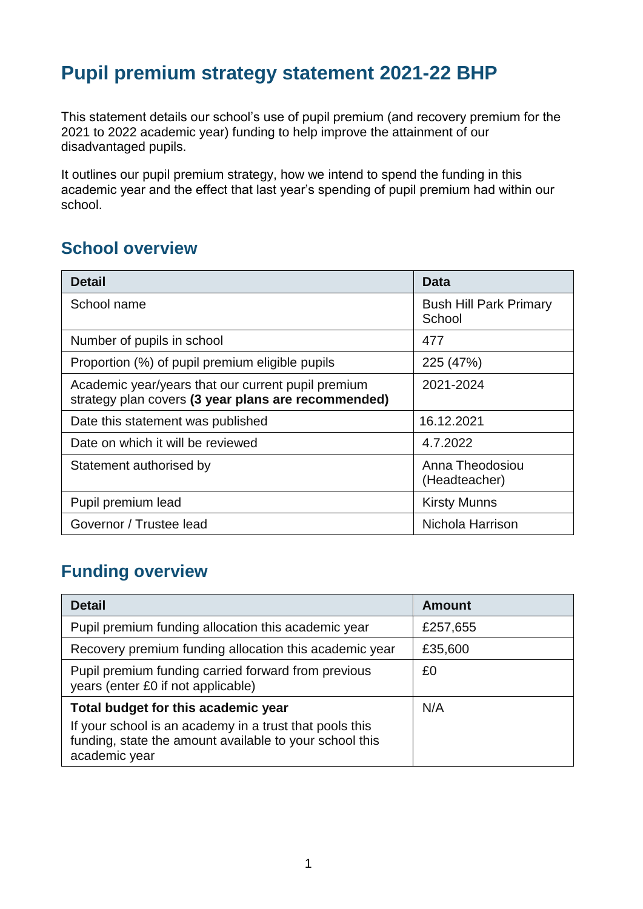## **Pupil premium strategy statement 2021-22 BHP**

This statement details our school's use of pupil premium (and recovery premium for the 2021 to 2022 academic year) funding to help improve the attainment of our disadvantaged pupils.

It outlines our pupil premium strategy, how we intend to spend the funding in this academic year and the effect that last year's spending of pupil premium had within our school.

#### **School overview**

| <b>Detail</b>                                                                                             | Data                                    |
|-----------------------------------------------------------------------------------------------------------|-----------------------------------------|
| School name                                                                                               | <b>Bush Hill Park Primary</b><br>School |
| Number of pupils in school                                                                                | 477                                     |
| Proportion (%) of pupil premium eligible pupils                                                           | 225 (47%)                               |
| Academic year/years that our current pupil premium<br>strategy plan covers (3 year plans are recommended) | 2021-2024                               |
| Date this statement was published                                                                         | 16.12.2021                              |
| Date on which it will be reviewed                                                                         | 4.7.2022                                |
| Statement authorised by                                                                                   | Anna Theodosiou<br>(Headteacher)        |
| Pupil premium lead                                                                                        | <b>Kirsty Munns</b>                     |
| Governor / Trustee lead                                                                                   | Nichola Harrison                        |

### **Funding overview**

| <b>Detail</b>                                                                                                                       | <b>Amount</b> |
|-------------------------------------------------------------------------------------------------------------------------------------|---------------|
| Pupil premium funding allocation this academic year                                                                                 | £257,655      |
| Recovery premium funding allocation this academic year                                                                              | £35,600       |
| Pupil premium funding carried forward from previous<br>years (enter £0 if not applicable)                                           | £0            |
| Total budget for this academic year                                                                                                 | N/A           |
| If your school is an academy in a trust that pools this<br>funding, state the amount available to your school this<br>academic year |               |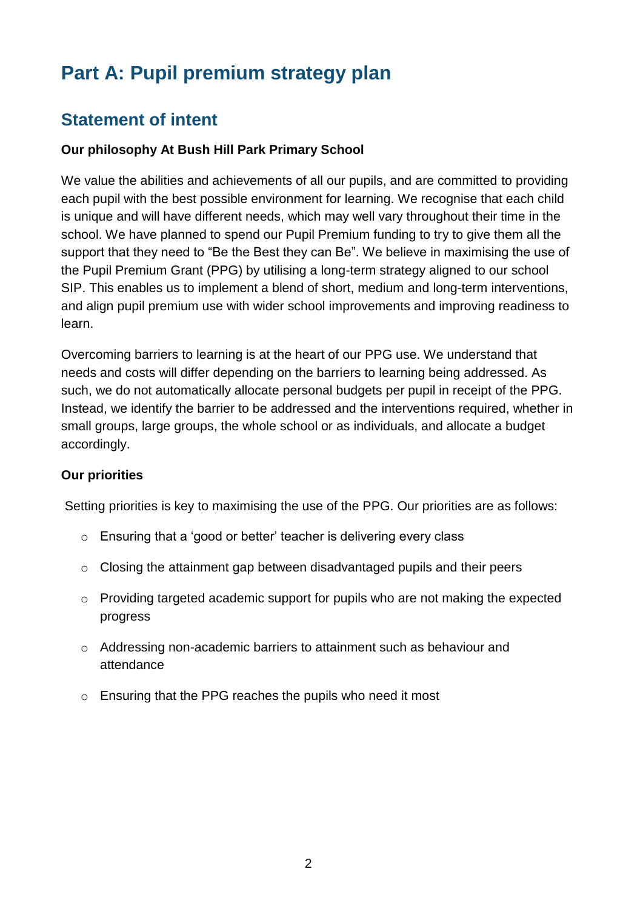# **Part A: Pupil premium strategy plan**

### **Statement of intent**

#### **Our philosophy At Bush Hill Park Primary School**

We value the abilities and achievements of all our pupils, and are committed to providing each pupil with the best possible environment for learning. We recognise that each child is unique and will have different needs, which may well vary throughout their time in the school. We have planned to spend our Pupil Premium funding to try to give them all the support that they need to "Be the Best they can Be". We believe in maximising the use of the Pupil Premium Grant (PPG) by utilising a long-term strategy aligned to our school SIP. This enables us to implement a blend of short, medium and long-term interventions, and align pupil premium use with wider school improvements and improving readiness to learn.

Overcoming barriers to learning is at the heart of our PPG use. We understand that needs and costs will differ depending on the barriers to learning being addressed. As such, we do not automatically allocate personal budgets per pupil in receipt of the PPG. Instead, we identify the barrier to be addressed and the interventions required, whether in small groups, large groups, the whole school or as individuals, and allocate a budget accordingly.

#### **Our priorities**

Setting priorities is key to maximising the use of the PPG. Our priorities are as follows:

- o Ensuring that a 'good or better' teacher is delivering every class
- o Closing the attainment gap between disadvantaged pupils and their peers
- o Providing targeted academic support for pupils who are not making the expected progress
- o Addressing non-academic barriers to attainment such as behaviour and attendance
- o Ensuring that the PPG reaches the pupils who need it most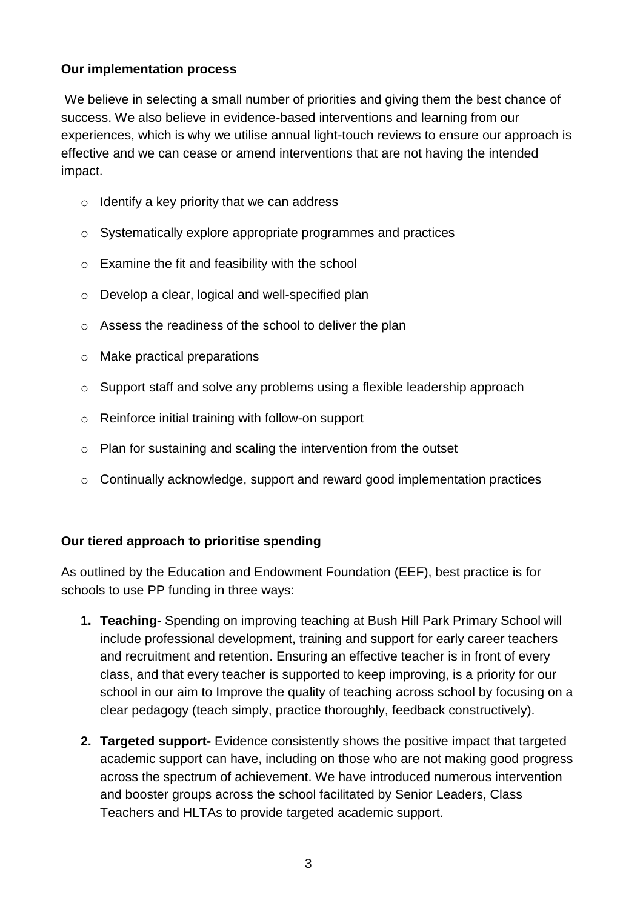#### **Our implementation process**

We believe in selecting a small number of priorities and giving them the best chance of success. We also believe in evidence-based interventions and learning from our experiences, which is why we utilise annual light-touch reviews to ensure our approach is effective and we can cease or amend interventions that are not having the intended impact.

- $\circ$  Identify a key priority that we can address
- o Systematically explore appropriate programmes and practices
- $\circ$  Examine the fit and feasibility with the school
- o Develop a clear, logical and well-specified plan
- o Assess the readiness of the school to deliver the plan
- o Make practical preparations
- o Support staff and solve any problems using a flexible leadership approach
- o Reinforce initial training with follow-on support
- o Plan for sustaining and scaling the intervention from the outset
- o Continually acknowledge, support and reward good implementation practices

#### **Our tiered approach to prioritise spending**

As outlined by the Education and Endowment Foundation (EEF), best practice is for schools to use PP funding in three ways:

- **1. Teaching-** Spending on improving teaching at Bush Hill Park Primary School will include professional development, training and support for early career teachers and recruitment and retention. Ensuring an effective teacher is in front of every class, and that every teacher is supported to keep improving, is a priority for our school in our aim to Improve the quality of teaching across school by focusing on a clear pedagogy (teach simply, practice thoroughly, feedback constructively).
- **2. Targeted support-** Evidence consistently shows the positive impact that targeted academic support can have, including on those who are not making good progress across the spectrum of achievement. We have introduced numerous intervention and booster groups across the school facilitated by Senior Leaders, Class Teachers and HLTAs to provide targeted academic support.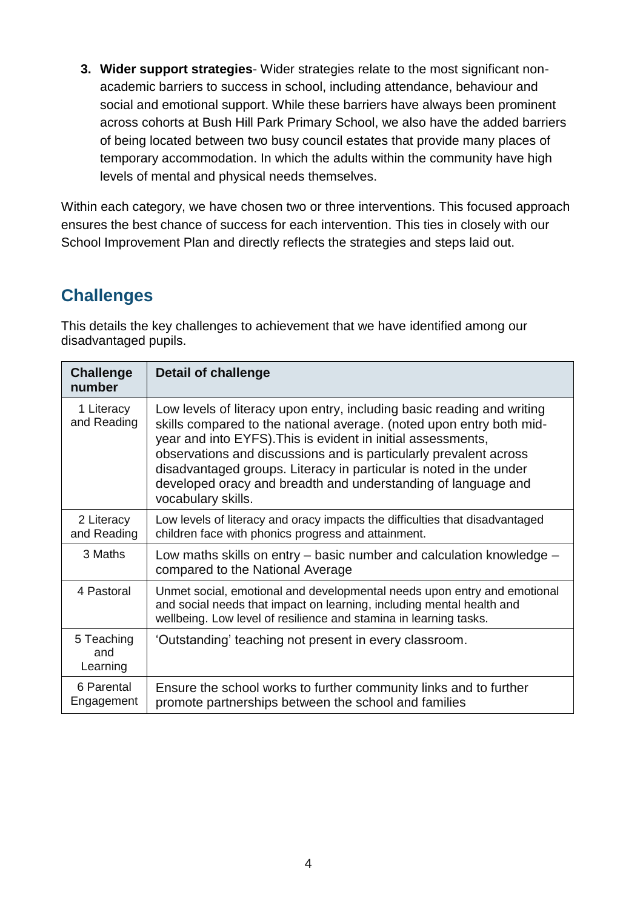**3. Wider support strategies**- Wider strategies relate to the most significant nonacademic barriers to success in school, including attendance, behaviour and social and emotional support. While these barriers have always been prominent across cohorts at Bush Hill Park Primary School, we also have the added barriers of being located between two busy council estates that provide many places of temporary accommodation. In which the adults within the community have high levels of mental and physical needs themselves.

Within each category, we have chosen two or three interventions. This focused approach ensures the best chance of success for each intervention. This ties in closely with our School Improvement Plan and directly reflects the strategies and steps laid out.

### **Challenges**

This details the key challenges to achievement that we have identified among our disadvantaged pupils.

| <b>Challenge</b><br>number    | <b>Detail of challenge</b>                                                                                                                                                                                                                                                                                                                                                                                                                       |
|-------------------------------|--------------------------------------------------------------------------------------------------------------------------------------------------------------------------------------------------------------------------------------------------------------------------------------------------------------------------------------------------------------------------------------------------------------------------------------------------|
| 1 Literacy<br>and Reading     | Low levels of literacy upon entry, including basic reading and writing<br>skills compared to the national average. (noted upon entry both mid-<br>year and into EYFS). This is evident in initial assessments,<br>observations and discussions and is particularly prevalent across<br>disadvantaged groups. Literacy in particular is noted in the under<br>developed oracy and breadth and understanding of language and<br>vocabulary skills. |
| 2 Literacy<br>and Reading     | Low levels of literacy and oracy impacts the difficulties that disadvantaged<br>children face with phonics progress and attainment.                                                                                                                                                                                                                                                                                                              |
| 3 Maths                       | Low maths skills on entry - basic number and calculation knowledge -<br>compared to the National Average                                                                                                                                                                                                                                                                                                                                         |
| 4 Pastoral                    | Unmet social, emotional and developmental needs upon entry and emotional<br>and social needs that impact on learning, including mental health and<br>wellbeing. Low level of resilience and stamina in learning tasks.                                                                                                                                                                                                                           |
| 5 Teaching<br>and<br>Learning | 'Outstanding' teaching not present in every classroom.                                                                                                                                                                                                                                                                                                                                                                                           |
| 6 Parental<br>Engagement      | Ensure the school works to further community links and to further<br>promote partnerships between the school and families                                                                                                                                                                                                                                                                                                                        |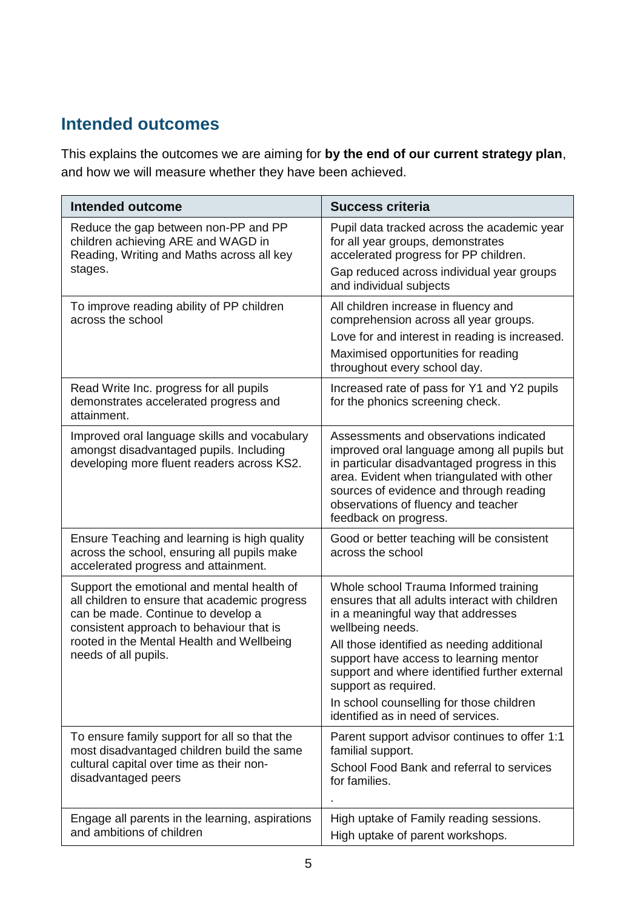### **Intended outcomes**

This explains the outcomes we are aiming for **by the end of our current strategy plan**, and how we will measure whether they have been achieved.

| <b>Intended outcome</b>                                                                                                                                                                                                                            | <b>Success criteria</b>                                                                                                                                                                                                                                                                                                                                                                              |
|----------------------------------------------------------------------------------------------------------------------------------------------------------------------------------------------------------------------------------------------------|------------------------------------------------------------------------------------------------------------------------------------------------------------------------------------------------------------------------------------------------------------------------------------------------------------------------------------------------------------------------------------------------------|
| Reduce the gap between non-PP and PP<br>children achieving ARE and WAGD in<br>Reading, Writing and Maths across all key<br>stages.                                                                                                                 | Pupil data tracked across the academic year<br>for all year groups, demonstrates<br>accelerated progress for PP children.<br>Gap reduced across individual year groups<br>and individual subjects                                                                                                                                                                                                    |
| To improve reading ability of PP children<br>across the school                                                                                                                                                                                     | All children increase in fluency and<br>comprehension across all year groups.<br>Love for and interest in reading is increased.<br>Maximised opportunities for reading<br>throughout every school day.                                                                                                                                                                                               |
| Read Write Inc. progress for all pupils<br>demonstrates accelerated progress and<br>attainment.                                                                                                                                                    | Increased rate of pass for Y1 and Y2 pupils<br>for the phonics screening check.                                                                                                                                                                                                                                                                                                                      |
| Improved oral language skills and vocabulary<br>amongst disadvantaged pupils. Including<br>developing more fluent readers across KS2.                                                                                                              | Assessments and observations indicated<br>improved oral language among all pupils but<br>in particular disadvantaged progress in this<br>area. Evident when triangulated with other<br>sources of evidence and through reading<br>observations of fluency and teacher<br>feedback on progress.                                                                                                       |
| Ensure Teaching and learning is high quality<br>across the school, ensuring all pupils make<br>accelerated progress and attainment.                                                                                                                | Good or better teaching will be consistent<br>across the school                                                                                                                                                                                                                                                                                                                                      |
| Support the emotional and mental health of<br>all children to ensure that academic progress<br>can be made. Continue to develop a<br>consistent approach to behaviour that is<br>rooted in the Mental Health and Wellbeing<br>needs of all pupils. | Whole school Trauma Informed training<br>ensures that all adults interact with children<br>in a meaningful way that addresses<br>wellbeing needs.<br>All those identified as needing additional<br>support have access to learning mentor<br>support and where identified further external<br>support as required.<br>In school counselling for those children<br>identified as in need of services. |
| To ensure family support for all so that the<br>most disadvantaged children build the same<br>cultural capital over time as their non-<br>disadvantaged peers                                                                                      | Parent support advisor continues to offer 1:1<br>familial support.<br>School Food Bank and referral to services<br>for families.                                                                                                                                                                                                                                                                     |
| Engage all parents in the learning, aspirations<br>and ambitions of children                                                                                                                                                                       | High uptake of Family reading sessions.<br>High uptake of parent workshops.                                                                                                                                                                                                                                                                                                                          |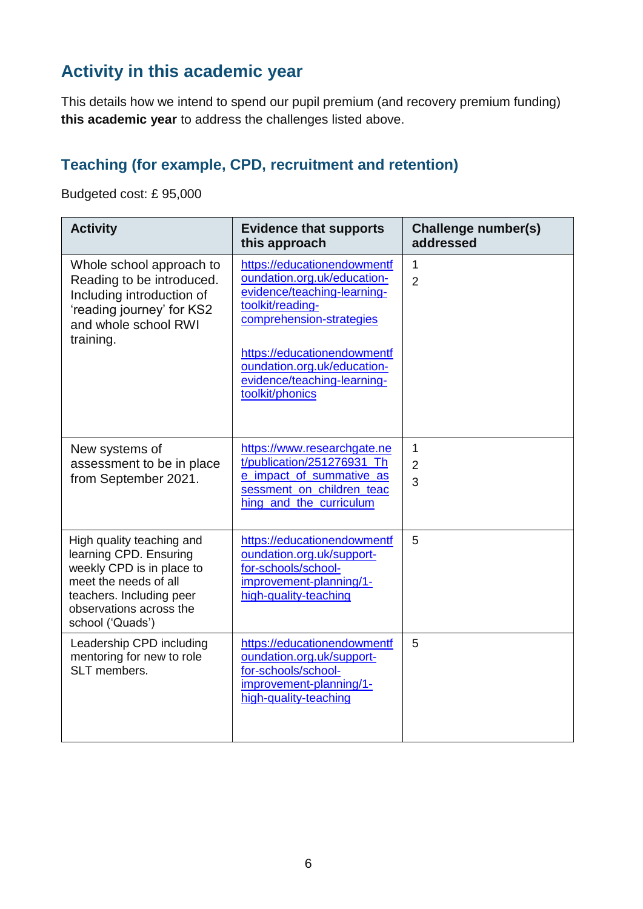### **Activity in this academic year**

This details how we intend to spend our pupil premium (and recovery premium funding) **this academic year** to address the challenges listed above.

#### **Teaching (for example, CPD, recruitment and retention)**

Budgeted cost: £ 95,000

| <b>Activity</b>                                                                                                                                                                      | <b>Evidence that supports</b><br>this approach                                                                                                                                                                                                            | <b>Challenge number(s)</b><br>addressed |
|--------------------------------------------------------------------------------------------------------------------------------------------------------------------------------------|-----------------------------------------------------------------------------------------------------------------------------------------------------------------------------------------------------------------------------------------------------------|-----------------------------------------|
| Whole school approach to<br>Reading to be introduced.<br>Including introduction of<br>'reading journey' for KS2<br>and whole school RWI<br>training.                                 | https://educationendowmentf<br>oundation.org.uk/education-<br>evidence/teaching-learning-<br>toolkit/reading-<br>comprehension-strategies<br>https://educationendowmentf<br>oundation.org.uk/education-<br>evidence/teaching-learning-<br>toolkit/phonics | $\mathbf{1}$<br>$\overline{2}$          |
| New systems of<br>assessment to be in place<br>from September 2021.                                                                                                                  | https://www.researchgate.ne<br>t/publication/251276931_Th<br>e impact of summative as<br>sessment on children teac<br>hing_and_the_curriculum                                                                                                             | $\mathbf{1}$<br>$\overline{2}$<br>3     |
| High quality teaching and<br>learning CPD. Ensuring<br>weekly CPD is in place to<br>meet the needs of all<br>teachers. Including peer<br>observations across the<br>school ('Quads') | https://educationendowmentf<br>oundation.org.uk/support-<br>for-schools/school-<br>improvement-planning/1-<br>high-quality-teaching                                                                                                                       | 5                                       |
| Leadership CPD including<br>mentoring for new to role<br>SLT members.                                                                                                                | https://educationendowmentf<br>oundation.org.uk/support-<br>for-schools/school-<br>improvement-planning/1-<br>high-quality-teaching                                                                                                                       | 5                                       |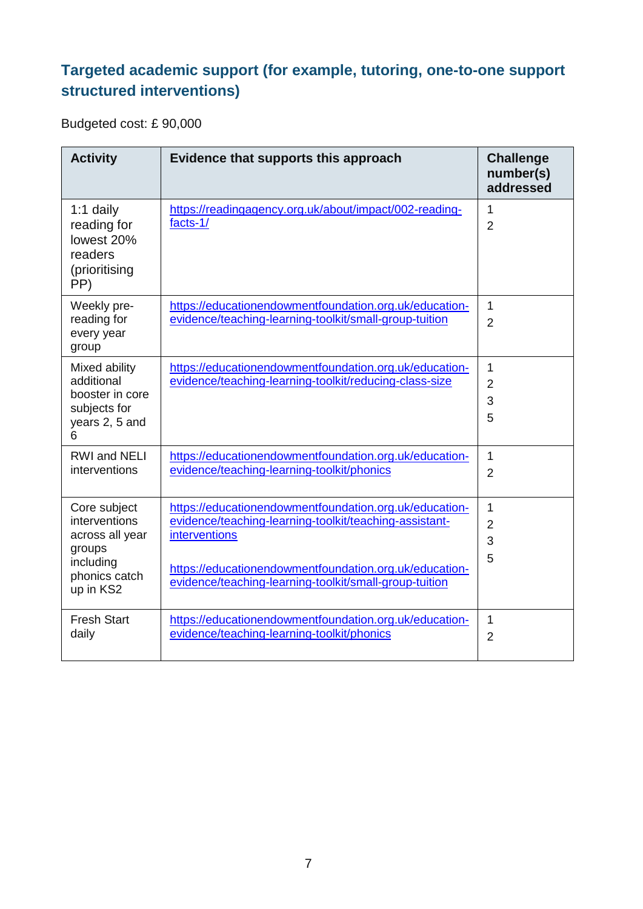### **Targeted academic support (for example, tutoring, one-to-one support structured interventions)**

Budgeted cost: £ 90,000

| <b>Activity</b>                                                                                       | Evidence that supports this approach                                                                                                                                                                                                                         | <b>Challenge</b><br>number(s)<br>addressed |
|-------------------------------------------------------------------------------------------------------|--------------------------------------------------------------------------------------------------------------------------------------------------------------------------------------------------------------------------------------------------------------|--------------------------------------------|
| $1:1$ daily<br>reading for<br>lowest 20%<br>readers<br>(prioritising<br>PP)                           | https://readingagency.org.uk/about/impact/002-reading-<br>facts-1/                                                                                                                                                                                           | 1<br>$\overline{2}$                        |
| Weekly pre-<br>reading for<br>every year<br>group                                                     | https://educationendowmentfoundation.org.uk/education-<br>evidence/teaching-learning-toolkit/small-group-tuition                                                                                                                                             | 1<br>$\overline{2}$                        |
| Mixed ability<br>additional<br>booster in core<br>subjects for<br>years 2, 5 and<br>6                 | https://educationendowmentfoundation.org.uk/education-<br>evidence/teaching-learning-toolkit/reducing-class-size                                                                                                                                             | 1<br>$\overline{2}$<br>3<br>5              |
| <b>RWI and NELI</b><br>interventions                                                                  | https://educationendowmentfoundation.org.uk/education-<br>evidence/teaching-learning-toolkit/phonics                                                                                                                                                         | 1<br>$\overline{2}$                        |
| Core subject<br>interventions<br>across all year<br>groups<br>including<br>phonics catch<br>up in KS2 | https://educationendowmentfoundation.org.uk/education-<br>evidence/teaching-learning-toolkit/teaching-assistant-<br><i>interventions</i><br>https://educationendowmentfoundation.org.uk/education-<br>evidence/teaching-learning-toolkit/small-group-tuition | 1<br>$\overline{2}$<br>3<br>5              |
| <b>Fresh Start</b><br>daily                                                                           | https://educationendowmentfoundation.org.uk/education-<br>evidence/teaching-learning-toolkit/phonics                                                                                                                                                         | 1<br>$\overline{2}$                        |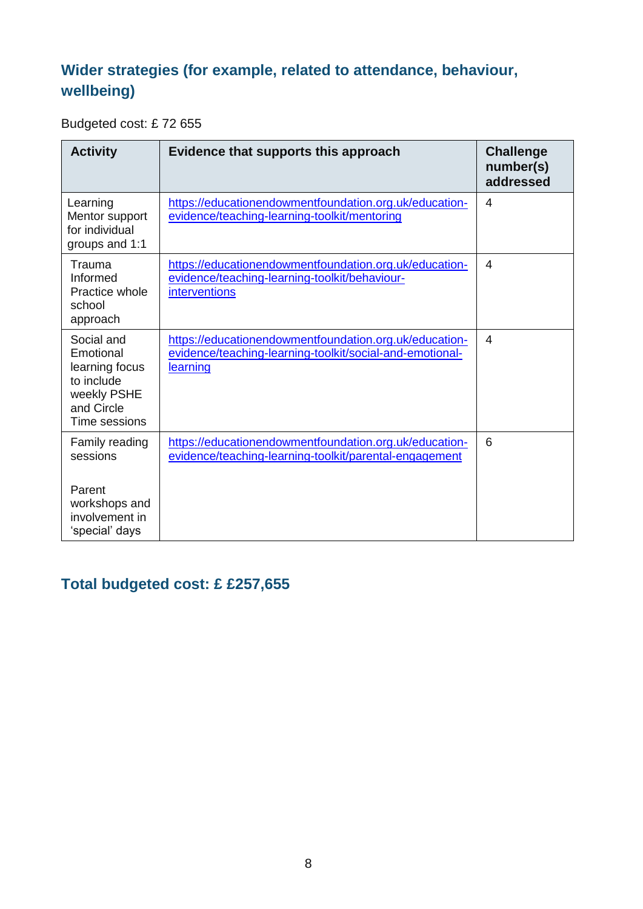### **Wider strategies (for example, related to attendance, behaviour, wellbeing)**

Budgeted cost: £ 72 655

| <b>Activity</b>                                                                                       | Evidence that supports this approach                                                                                            | <b>Challenge</b><br>number(s)<br>addressed |
|-------------------------------------------------------------------------------------------------------|---------------------------------------------------------------------------------------------------------------------------------|--------------------------------------------|
| Learning<br>Mentor support<br>for individual<br>groups and 1:1                                        | https://educationendowmentfoundation.org.uk/education-<br>evidence/teaching-learning-toolkit/mentoring                          | $\overline{4}$                             |
| Trauma<br>Informed<br>Practice whole<br>school<br>approach                                            | https://educationendowmentfoundation.org.uk/education-<br>evidence/teaching-learning-toolkit/behaviour-<br><b>interventions</b> | 4                                          |
| Social and<br>Emotional<br>learning focus<br>to include<br>weekly PSHE<br>and Circle<br>Time sessions | https://educationendowmentfoundation.org.uk/education-<br>evidence/teaching-learning-toolkit/social-and-emotional-<br>learning  | 4                                          |
| Family reading<br>sessions<br>Parent<br>workshops and<br>involvement in<br>'special' days             | https://educationendowmentfoundation.org.uk/education-<br>evidence/teaching-learning-toolkit/parental-engagement                | 6                                          |

#### **Total budgeted cost: £ £257,655**